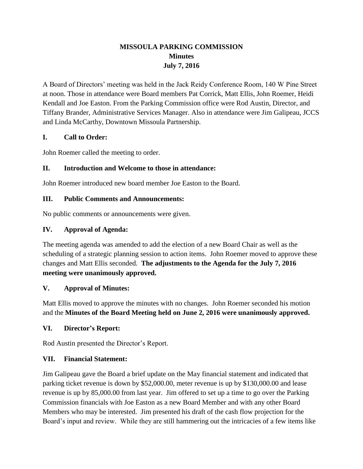# **MISSOULA PARKING COMMISSION Minutes July 7, 2016**

A Board of Directors' meeting was held in the Jack Reidy Conference Room, 140 W Pine Street at noon. Those in attendance were Board members Pat Corrick, Matt Ellis, John Roemer, Heidi Kendall and Joe Easton. From the Parking Commission office were Rod Austin, Director, and Tiffany Brander, Administrative Services Manager. Also in attendance were Jim Galipeau, JCCS and Linda McCarthy, Downtown Missoula Partnership.

## **I. Call to Order:**

John Roemer called the meeting to order.

## **II. Introduction and Welcome to those in attendance:**

John Roemer introduced new board member Joe Easton to the Board.

## **III. Public Comments and Announcements:**

No public comments or announcements were given.

## **IV. Approval of Agenda:**

The meeting agenda was amended to add the election of a new Board Chair as well as the scheduling of a strategic planning session to action items. John Roemer moved to approve these changes and Matt Ellis seconded. **The adjustments to the Agenda for the July 7, 2016 meeting were unanimously approved.**

## **V. Approval of Minutes:**

Matt Ellis moved to approve the minutes with no changes. John Roemer seconded his motion and the **Minutes of the Board Meeting held on June 2, 2016 were unanimously approved.**

## **VI. Director's Report:**

Rod Austin presented the Director's Report.

## **VII. Financial Statement:**

Jim Galipeau gave the Board a brief update on the May financial statement and indicated that parking ticket revenue is down by \$52,000.00, meter revenue is up by \$130,000.00 and lease revenue is up by 85,000.00 from last year. Jim offered to set up a time to go over the Parking Commission financials with Joe Easton as a new Board Member and with any other Board Members who may be interested. Jim presented his draft of the cash flow projection for the Board's input and review. While they are still hammering out the intricacies of a few items like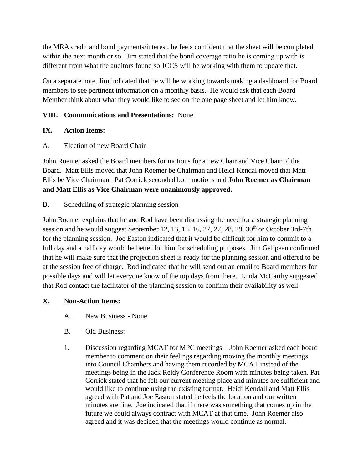the MRA credit and bond payments/interest, he feels confident that the sheet will be completed within the next month or so. Jim stated that the bond coverage ratio he is coming up with is different from what the auditors found so JCCS will be working with them to update that.

On a separate note, Jim indicated that he will be working towards making a dashboard for Board members to see pertinent information on a monthly basis. He would ask that each Board Member think about what they would like to see on the one page sheet and let him know.

## **VIII. Communications and Presentations:** None.

## **IX. Action Items:**

A. Election of new Board Chair

John Roemer asked the Board members for motions for a new Chair and Vice Chair of the Board. Matt Ellis moved that John Roemer be Chairman and Heidi Kendal moved that Matt Ellis be Vice Chairman. Pat Corrick seconded both motions and **John Roemer as Chairman and Matt Ellis as Vice Chairman were unanimously approved.**

B. Scheduling of strategic planning session

John Roemer explains that he and Rod have been discussing the need for a strategic planning session and he would suggest September 12, 13, 15, 16, 27, 27, 28, 29,  $30<sup>th</sup>$  or October 3rd-7th for the planning session. Joe Easton indicated that it would be difficult for him to commit to a full day and a half day would be better for him for scheduling purposes. Jim Galipeau confirmed that he will make sure that the projection sheet is ready for the planning session and offered to be at the session free of charge. Rod indicated that he will send out an email to Board members for possible days and will let everyone know of the top days from there. Linda McCarthy suggested that Rod contact the facilitator of the planning session to confirm their availability as well.

#### **X. Non-Action Items:**

- A. New Business None
- B. Old Business:
- 1. Discussion regarding MCAT for MPC meetings John Roemer asked each board member to comment on their feelings regarding moving the monthly meetings into Council Chambers and having them recorded by MCAT instead of the meetings being in the Jack Reidy Conference Room with minutes being taken. Pat Corrick stated that he felt our current meeting place and minutes are sufficient and would like to continue using the existing format. Heidi Kendall and Matt Ellis agreed with Pat and Joe Easton stated he feels the location and our written minutes are fine. Joe indicated that if there was something that comes up in the future we could always contract with MCAT at that time. John Roemer also agreed and it was decided that the meetings would continue as normal.